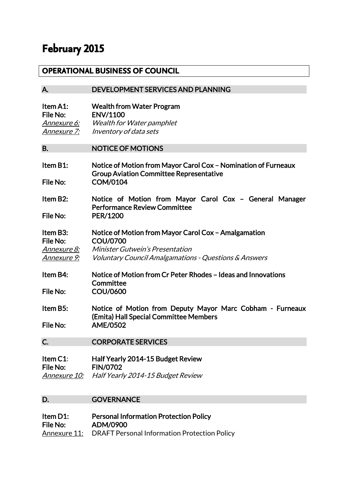# **February 2015**

## **OPERATIONAL BUSINESS OF COUNCIL**

# A. DEVELOPMENT SERVICES AND PLANNING

| Item A1:    | <b>Wealth from Water Program</b> |
|-------------|----------------------------------|
| File No:    | <b>ENV/1100</b>                  |
| Annexure 6: | Wealth for Water pamphlet        |
| Annexure 7: | Inventory of data sets           |

#### B. NOTICE OF MOTIONS

| Item $B1$ : | Notice of Motion from Mayor Carol Cox - Nomination of Furneaux |
|-------------|----------------------------------------------------------------|
|             | <b>Group Aviation Committee Representative</b>                 |
| File No:    | COM/0104                                                       |

#### Item B2: Notice of Motion from Mayor Carol Cox – General Manager Performance Review Committee File No: PER/1200

#### Item B3: Notice of Motion from Mayor Carol Cox – Amalgamation File No: COU/0700 Annexure 8: Minister Gutwein's Presentation Annexure 9: Voluntary Council Amalgamations - Questions & Answers

#### Item B4: Notice of Motion from Cr Peter Rhodes – Ideas and Innovations **Committee** File No: COU/0600

#### Item B5: Notice of Motion from Deputy Mayor Marc Cobham - Furneaux (Emita) Hall Special Committee Members File No: AME/0502

## C. CORPORATE SERVICES

#### Item C1: Half Yearly 2014-15 Budget Review File No: FIN/0702 Annexure 10: Half Yearly 2014-15 Budget Review

## D. **GOVERNANCE**

#### Item D1: Personal Information Protection Policy File No: ADM/0900 Annexure 11: DRAFT Personal Information Protection Policy